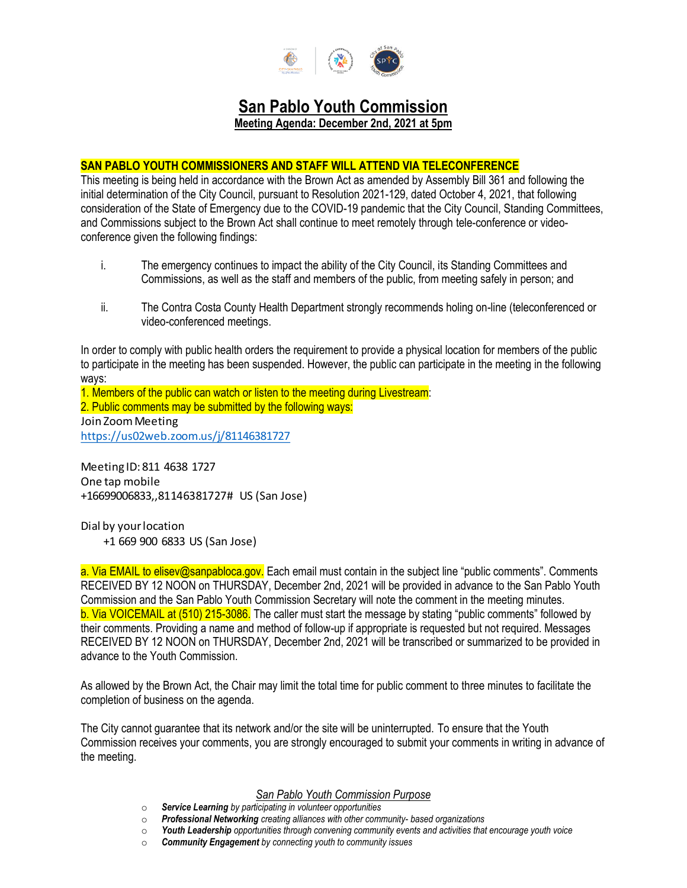

# **San Pablo Youth Commission**

**Meeting Agenda: December 2nd, 2021 at 5pm**

# **SAN PABLO YOUTH COMMISSIONERS AND STAFF WILL ATTEND VIA TELECONFERENCE**

This meeting is being held in accordance with the Brown Act as amended by Assembly Bill 361 and following the initial determination of the City Council, pursuant to Resolution 2021-129, dated October 4, 2021, that following consideration of the State of Emergency due to the COVID-19 pandemic that the City Council, Standing Committees, and Commissions subject to the Brown Act shall continue to meet remotely through tele-conference or videoconference given the following findings:

- i. The emergency continues to impact the ability of the City Council, its Standing Committees and Commissions, as well as the staff and members of the public, from meeting safely in person; and
- ii. The Contra Costa County Health Department strongly recommends holing on-line (teleconferenced or video-conferenced meetings.

In order to comply with public health orders the requirement to provide a physical location for members of the public to participate in the meeting has been suspended. However, the public can participate in the meeting in the following ways:

1. Members of the public can watch or listen to the meeting during Livestream: 2. Public comments may be submitted by the following ways: Join Zoom Meeting https://us02web.zoom.us/j/81146381727

Meeting ID: 811 4638 1727 One tap mobile +16699006833,,81146381727# US (San Jose)

Dial by your location +1 669 900 6833 US (San Jose)

a. Via EMAIL to elisev@sanpabloca.gov. Each email must contain in the subject line "public comments". Comments RECEIVED BY 12 NOON on THURSDAY, December 2nd, 2021 will be provided in advance to the San Pablo Youth Commission and the San Pablo Youth Commission Secretary will note the comment in the meeting minutes. b. Via VOICEMAIL at (510) 215-3086. The caller must start the message by stating "public comments" followed by their comments. Providing a name and method of follow-up if appropriate is requested but not required. Messages RECEIVED BY 12 NOON on THURSDAY, December 2nd, 2021 will be transcribed or summarized to be provided in advance to the Youth Commission.

As allowed by the Brown Act, the Chair may limit the total time for public comment to three minutes to facilitate the completion of business on the agenda.

The City cannot guarantee that its network and/or the site will be uninterrupted. To ensure that the Youth Commission receives your comments, you are strongly encouraged to submit your comments in writing in advance of the meeting.

## *San Pablo Youth Commission Purpose*

- o *Service Learning by participating in volunteer opportunities*
- o *Professional Networking creating alliances with other community- based organizations*
- o *Youth Leadership opportunities through convening community events and activities that encourage youth voice*
- o *Community Engagement by connecting youth to community issues*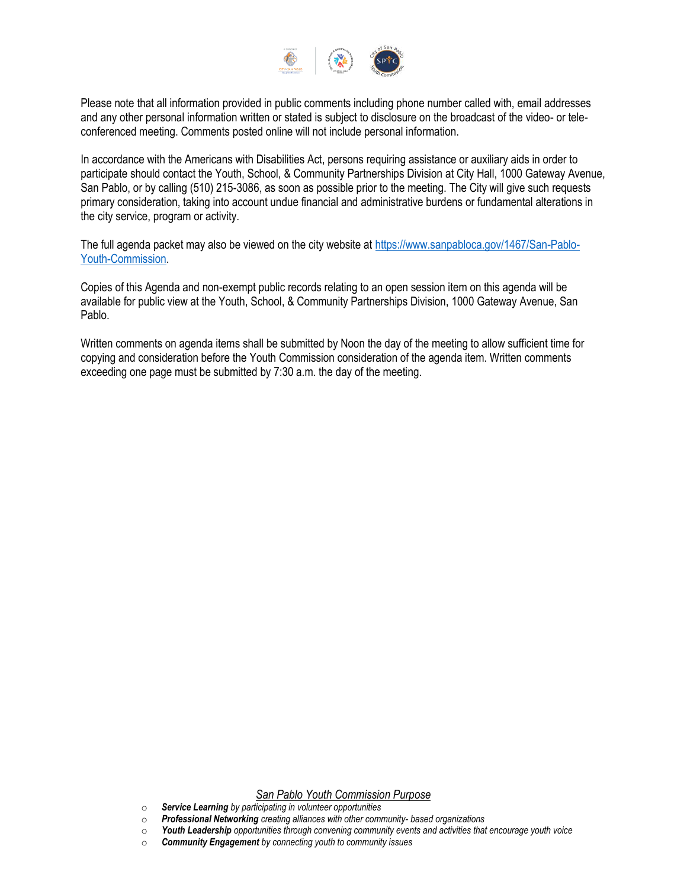

Please note that all information provided in public comments including phone number called with, email addresses and any other personal information written or stated is subject to disclosure on the broadcast of the video- or teleconferenced meeting. Comments posted online will not include personal information.

In accordance with the Americans with Disabilities Act, persons requiring assistance or auxiliary aids in order to participate should contact the Youth, School, & Community Partnerships Division at City Hall, 1000 Gateway Avenue, San Pablo, or by calling (510) 215-3086, as soon as possible prior to the meeting. The City will give such requests primary consideration, taking into account undue financial and administrative burdens or fundamental alterations in the city service, program or activity.

The full agenda packet may also be viewed on the city website at [https://www.sanpabloca.gov/1467/San-Pablo-](https://www.sanpabloca.gov/1467/San-Pablo-Youth-Commission)[Youth-Commission.](https://www.sanpabloca.gov/1467/San-Pablo-Youth-Commission)

Copies of this Agenda and non-exempt public records relating to an open session item on this agenda will be available for public view at the Youth, School, & Community Partnerships Division, 1000 Gateway Avenue, San Pablo.

Written comments on agenda items shall be submitted by Noon the day of the meeting to allow sufficient time for copying and consideration before the Youth Commission consideration of the agenda item. Written comments exceeding one page must be submitted by 7:30 a.m. the day of the meeting.

# *San Pablo Youth Commission Purpose*

- o *Service Learning by participating in volunteer opportunities*
- o *Professional Networking creating alliances with other community- based organizations*
- o *Youth Leadership opportunities through convening community events and activities that encourage youth voice*
- o *Community Engagement by connecting youth to community issues*